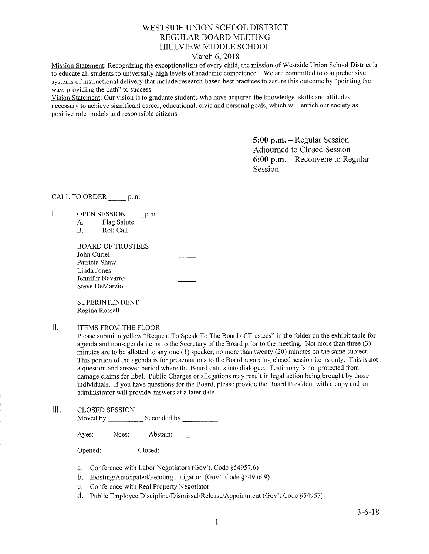# WESTSIDE UNION SCHOOL DISTRICT REGULAR BOARD MEETING HILLVIEW MIDDLE SCHOOL

### March 6,2018

Mission Statement: Recognizing the exceptionalism of every child, the mission of Westside Union School District is to educate all students to universally high levels of academic competence. We are committed to comprehensive systems of instructional delivery that include research-based best practices to assure this outcome by "pointing the way, providing the path" to success.

Vision Statement: Our vision is to graduate students who have acquired the knowledge, skills and attitudes necessary to achieve significant career, educational, civic and personal goals, which will enrich our society as positive role models and responsible citizens.

> 5:00 p.m. - Regular Session Adjourned to Closed Session 6:00 p.m. - Reconvene to Regular Session

CALL TO ORDER p.m.

- $\mathbf{I}$ . OPEN SESSION p.m.
	- A. Flag Salute
	- B. Roll Call

| BOARD OF TRUSTEES     |  |
|-----------------------|--|
| John Curiel           |  |
| Patricia Shaw         |  |
| Linda Jones           |  |
| Jennifer Navarro      |  |
| Steve DeMarzio        |  |
|                       |  |
| <b>SUPERINTENDENT</b> |  |

Regina Rossall

ΙΙ. ITEMS FROM THE FLOOR

> Please submit a yellow "Request To Speak To The Board of Trustees" in the folder on the exhibit table for agenda and non-agenda items to the Secretary of the Board prior to the meeting. Not more than three (3) minutes are to be allotted to any one (l) speaker, no more than twenty (20) minutes on the same subject. This portion of the agenda is for presentations to the Board regarding closed session items only. This is not a question and answer period where the Board enters into dialogue. Testimony is not protected from damage claims for libel. Public Charges or allegations may result in legal action being brought by those individuals. If you have questions for the Board, please provide the Board President with a copy and an administrator will provide answers at a later date.

 $III.$ CLOSED SESSION

Moved by \_\_\_\_\_\_\_\_\_\_\_\_ Seconded by \_

Ayes: Noes: Abstain:

Opened: Closed:

- a. Conference with Labor Negotiators (Gov't. Code \$54957.6)
- b. Existing/Anticipated/Pending Litigation (Gov't Code \$54956.9)
- c. Conference with Real Property Negotiator
- d. Public Employee Discipline/Dismissal/Release/Appointment (Gov't Code \$54957)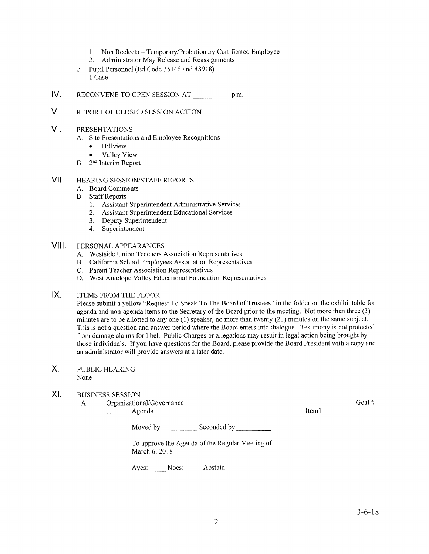- 1. Non Reelects Temporary/Probationary Certificated Employee<br>2. Administrator May Release and Reassignments
- 
- e. Pupil Personnel (Ed Code 35146 and 48918) I Case
- IV RECONVENE TO OPEN SESSION AT \_\_\_\_\_\_\_\_\_\_\_\_\_\_ p.m.
- V. REPORT OF CLOSED SESSION ACTION
- VI PRESENTATIONS
	- A. Site Presentations and Employee Recognitions
		- . Hillview
		- . Valley View
	- B. 2nd Interim Report
- HEAzuNG SESSION/STAFF REPORTS vil
	- A. Board Comments
	- **B.** Staff Reports
		- 1. Assistant Superintendent Administrative Services
		- 2. Assistant Superintendent Educational Services
		- 3. Deputy Superintendent
		- 4. Superintendent
- PERSONAL APPEARANCES VIII.
	- A. Westside Union Teachers Association Representatives
	- B. California School Employees Association Representatives
	- C. Parent Teacher Association Representatives
	- D. West Antelope Valley Educational Foundation Representatives
- ITEMS FROM THE FLOOR IX

Please submit a yellow "Request To Speak To The Board of Trustees" in the folder on the exhibit table for agenda and non-agenda items to the Secretary of the Board prior to the meeting. Not more than three (3) minutes are to be allotted to any one (1) speaker, no more than twenty (20) minutes on the same subject. This is not a question and answer period where the Board enters into dialogue. Testimony is not protected from damage claims for libel. Public Charges or allegations may result in legal action being brought by those individuals. If you have questions for the Board, please provide the Board President with a copy and an administrator will provide answers at a later date.

- PUBLIC HEAzuNG None  $X_{n}$
- XI BUSINESS SESSION
	- A. Organizational/Governance Goal # Goal # Goal # Goal # Goal # Goal # Goal # Goal # Goal # Goal # Goal # Goal # Goal # Goal # Goal # Goal # Goal # Goal # Goal # Goal # Goal # Goal # Goal # Goal # Goal # Goal # Goal # Goal

Moved by Seconded by Seconded by Seconded by Seconded by Seconded by Seconded by Seconded by Seconded by Seconded by Seconded by Seconded by Seconded by Seconded by Seconded by Seconded by Seconded by Seconded by Seconded

To approve the Agenda of the Regular Meeting of March 6,2018

Ayes: Noes: Abstain: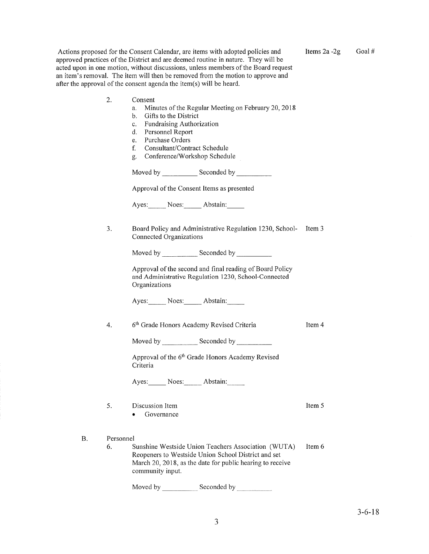Actions proposed for the Consent Calendar, are items with adopted policies and approved practices of the District and are deemed routine in nature. They will be acted upon in one motion, without discussions, unless members of the Board request an item's removal. The item will then be removed from the motion to approve and after the approval of the consent agenda the item(s) will be heard.

Items2a -2g Goal #

| 2.              | Consent<br>a.<br>Gifts to the District<br>b.<br>Fundraising Authorization<br>c.<br>d.<br>Personnel Report<br>Purchase Orders<br>e.<br>Consultant/Contract Schedule<br>f.<br>Conference/Workshop Schedule<br>g. | Minutes of the Regular Meeting on February 20, 2018                                                                                                                     |        |  |
|-----------------|----------------------------------------------------------------------------------------------------------------------------------------------------------------------------------------------------------------|-------------------------------------------------------------------------------------------------------------------------------------------------------------------------|--------|--|
|                 |                                                                                                                                                                                                                |                                                                                                                                                                         |        |  |
|                 | Approval of the Consent Items as presented                                                                                                                                                                     |                                                                                                                                                                         |        |  |
|                 | Ayes: Noes: Abstain:                                                                                                                                                                                           |                                                                                                                                                                         |        |  |
| 3.              | Connected Organizations                                                                                                                                                                                        | Board Policy and Administrative Regulation 1230, School-                                                                                                                | Item 3 |  |
|                 |                                                                                                                                                                                                                | Moved by Seconded by Seconded by                                                                                                                                        |        |  |
|                 | Organizations                                                                                                                                                                                                  | Approval of the second and final reading of Board Policy<br>and Administrative Regulation 1230, School-Connected                                                        |        |  |
|                 | Ayes: Noes: Abstain:                                                                                                                                                                                           |                                                                                                                                                                         |        |  |
| 4.              | 6th Grade Honors Academy Revised Criteria                                                                                                                                                                      |                                                                                                                                                                         | Item 4 |  |
|                 |                                                                                                                                                                                                                |                                                                                                                                                                         |        |  |
|                 | Criteria                                                                                                                                                                                                       | Approval of the 6 <sup>th</sup> Grade Honors Academy Revised                                                                                                            |        |  |
|                 | Ayes: Noes: Abstain:                                                                                                                                                                                           |                                                                                                                                                                         |        |  |
| 5.              | Discussion Item<br>Governance                                                                                                                                                                                  |                                                                                                                                                                         | Item 5 |  |
| Personnel<br>6. | community input.                                                                                                                                                                                               | Sunshine Westside Union Teachers Association (WUTA)<br>Reopeners to Westside Union School District and set<br>March 20, 2018, as the date for public hearing to receive | Item 6 |  |
|                 | Moved by                                                                                                                                                                                                       | Seconded by                                                                                                                                                             |        |  |

3-6-18

 $B.$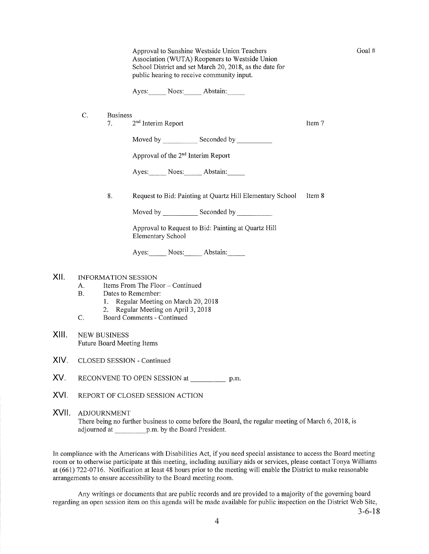Approval to Sunshine Westside Union Teachers Association (WUTA) Reopeners to Westside Union School District and set March 20,2018, as the date for public hearing to receive community input.

Ayes: Noes: Abstain:

- C. Business
	- 7.  $2<sup>nd</sup>$  Interim Report ltem 7

Goal #

Moved by \_\_\_\_\_\_\_\_\_\_\_\_\_ Seconded by

Approval of the 2"d Interim Reporl

Ayes: Noes: Abstain:

8. Request to Bid: Painting at Quartz Hill Elementary School Item 8

Moved by Seconded by Seconded by Seconded by Seconded by Seconded by Seconded by Seconded by Seconded by Seconded by Seconded by Seconded by Seconded by Seconded by Seconded by Seconded by Seconded by Seconded by Seconded

Approval to Request to Bid: Painting at Quartz Hill Elementary School

Ayes: Noes: Abstain:

## XII. INFORMATION SESSION

- A. Items From The Floor Continued<br>B. Dates to Remember:
- - l. Regular Meeting on March 20,2018
- 2. Regular Meeting on April 3, 2018<br>C. Board Comments Continued
- 
- XIII. NEW BUSINESS Future Board Meeting Items
- XIV. CLOSED SESSION - Continued
- XV. RECONVENE TO OPEN SESSION at p.m.
- XVI. REPORT OF CLOSED SESSION ACTION

XVII ADJOURNMENT There being no further business to come before the Board, the regular meeting of March 6, 2018, is adjourned at p.m. by the Board President.

In compliance with the Americans with Disabilities Act, if you need special assistance to access the Board meeting room or to otherwise participate at this meeting, including auxiliary aids or services, please contact Tonya Williams at (661) 122-0116. Notification at least 48 hours prior to the meeting will enable the District to make reasonable arrangements to ensure accessibility to the Board meeting room.

Any writings or documents that are public records and are provided to a majority of the governing board regarding an open session item on this agenda will be made available for public inspection on the District Web Site,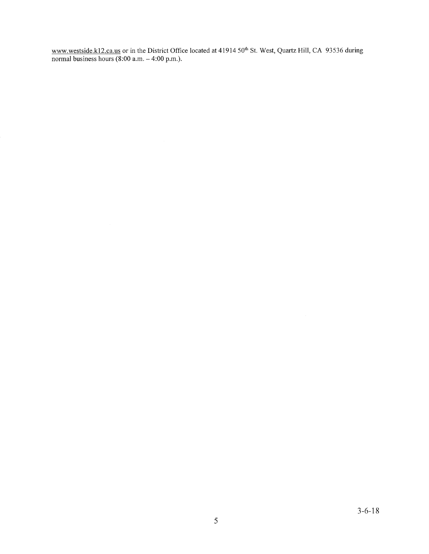www.westside.k12.ca.us or in the District Office located at 41914 50<sup>th</sup> St. West, Quartz Hill, CA 93536 during normal business hours  $(8:00 \text{ a.m.} - 4:00 \text{ p.m.})$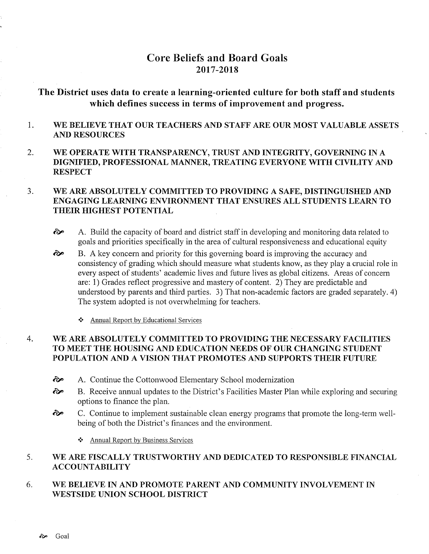# Core Beliefs and Board Goals 2017 -2018

# The District uses data to create a learning-oriented culture for both staff and students which defines success in terms of improvement and progress.

#### 1 WE BELIEVE THAT OUR TEACHERS AND STAFF ARE OUR MOST VALUABLE ASSETS AND RESOURCES

2. WE OPERATE WITH TRANSPARENCY, TRUST AND INTEGRITY, GOVERNING IN A DIGNIFIED, PROFESSIONAL MANNER, TREATING EVERYONE WITH CIVILITY AND **RESPECT** 

#### J WE ARE ABSOLUTELY COMMITTED TO PROVIDING A SAFE, DISTINGUISHED AND ENGAGING LEARNING ENVIRONMENT THAT ENSURES ALL STUDENTS LEARN TO THEIR HIGHEST POTENTIAL

- $\leftrightarrow$  A. Build the capacity of board and district staff in developing and monitoring data related to goals and priorities specifically in the area of cultural responsiveness and educational equity
- B. A key concem and priority for this governing board is improving the accuracy and consistency of grading which should measure what students know, as they play a crucial role in every aspect of students' academic lives and future lives as global citizens. Areas of concern are: 1) Grades reflect progressive and mastery of content. 2) They are predictable and understood by parents and third parties. 3) That non-academic factors are graded separately. 4) The system adopted is not overwhelming for teachers. ôÊ
	- ❖ Annual Report by Educational Services

#### WE ARE ABSOLUTELY COMMITTED TO PROVIDING THE NECESSARY FACILITIES TO MEET THE HOUSING AND EDUCATION NEEDS OF OUR CHANGING STUDBNT POPULATION AND A VISION THAT PROMOTES AND SUPPORTS THEIR FUTURE 4

- èÊ A. Continue the Cottonwood Elementary School modernization
- èp B. Receive annual updates to the District's Facilities Master Plan while exploring and securing options to finance the plan.
- ô" C. Continue to implement sustainable clean energy programs that promote the long-term wellbeing of both the District's finances and the environment.
	- \* Annual Reporl by Business Services

#### 5. WE ARE FISCALLY TRUSTWORTHY AND DEDICATED TO RESPONSIBLE FINANCIAL ACCOUNTABILITY

#### 6 WE BELIEVE IN AND PROMOTE PARENT AND COMMUNITY INVOLVEMENT IN WESTSIDE UNION SCHOOL DISTRICT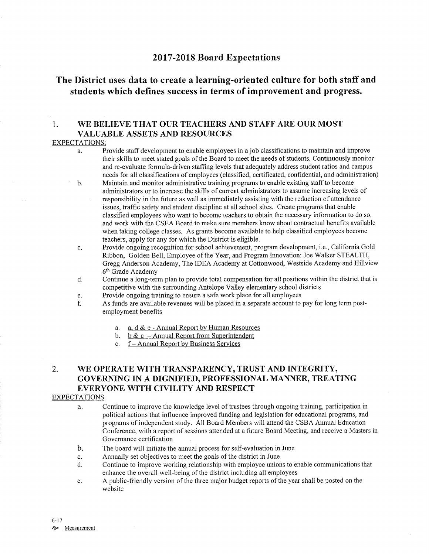# <sup>2017</sup>-2018 Board Expectations

# The District uses data to create a learning-oriented culture for both staff and students which defines success in terms of improvement and progress.

## 1. WE BELIEVE THAT OUR TEACHERS AND STAFF ARE OUR MOST VALUABLE ASSETS AND RESOURCES

### EXPECTATIONS:

- a. Provide staff development to enable employees in a job classifications to maintain and improve their skills to meet stated goals of the Board to meet the needs of students. Continuously monitor and re-evaluate formula-driven staffing levels that adequately address student ratios and campus needs for all classifications of employees (classified, certificated, confidential, and administration)
- b. Maintain and monitor administrative training programs to enable existing staff to become administrators or to increase the skills of current administrators to assume increasing levels of responsibility in the future as well as immediately assisting with the reduction of attendance issues, traffic safety and student discipline at all school sites. Create programs that enable classified employees who want to become teachers to obtain the necessary information to do so, and work with the CSEA Board to make sure members know about contractual benefits available when taking college classes. As grants become available to help classified employees become teachers, apply for any for which the District is eligible.
- c. Provide ongoing recognition for school achievement, program development, i.e., California Gold Ribbon, Golden Bell, Employee of the Year, and Program Innovation: Joe Walker STEALTH, Gregg Anderson Academy, The IDEA Academy at Cottonwood, Westside Academy and Hillview 6th Grade Academy
- d. Continue a long-term plan to provide total compensation for all positions within the district that is competitive with the surrounding Antelope Valley elementary school districts
- 
- e. Provide ongoing training to ensure a safe work place for all employees **holds** for long term post-<br>f. As funds are available revenues will be placed in a separate account to pay for long term postemployment benefits
	- a. a.  $d \& e$  Annual Report by Human Resources<br>b. b  $\& c$  Annual Report from Superintendent
	-
	- c. f Annual Report by Business Services

# 2. WE OPERATE WITH TRANSPARENCY, TRUST AND INTEGRTTY, GOVERNING IN A DIGNIFIED, PROFESSIONAL MANNER, TREATING EVERYONE WITH CIVILITY AND RESPECT

### EXPECTATIONS

- a. Continue to improve the knowledge level of trustees through ongoing training, participation in political actions that influence improved funding and legislation for educational programs, and programs of independent study. All Board Members will attend the CSBA Annual Education Conference, with a report of sessions attended at a future Board Meeting, and receive a Masters in Governance certification
- b. The board will initiate the annual process for self-evaluation in June
- 
- c. Annually set objectives to meet the goals of the district in June<br>d. Continue to improve working relationship with employee unions to enable communications that enhance the overall well-being of the district including all employees
- e. A public-friendly version of the three major budget reports of the year shall be posted on the website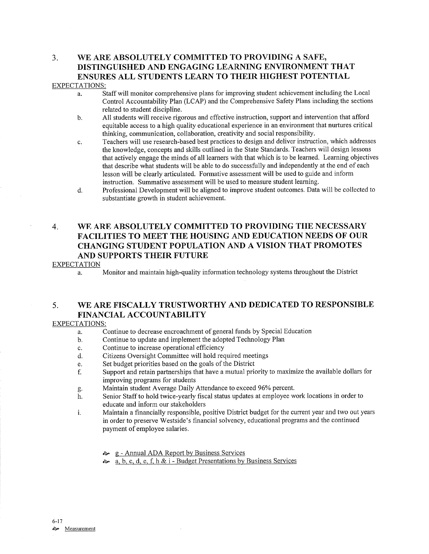# 3. WE ARE ABSOLUTELY COMMITTED TO PROVIDING A SAFE, DISTINGUISHED AND ENGAGING LEARNING ENVIRONMENT THAT ENSURES ALL STUDENTS LEARN TO THEIR HIGHEST POTENTIAL

#### EXPECTATIONS:

- a. Staff will monitor comprehensive plans for improving student achievement including the Local Control Accountability Plan (LCAP) and the Comprehensive Safety Plans including the sections related to student discipline.
- b. All students will receive rigorous and effective instruction, support and intervention that afford equitable access to a high quality educational experience in an environment that nurtures critical thinking, communication, collaboration, creativity and social responsibility.
- c. Teachers will use research-based best practices to design and deliver instruction, which addresses the knowledge, concepts and skills outlined in the State Standards. Teachers will design lessons that actively engage the minds of all learners with that which is to be learned. Learning objectives that describe what students will be able to do successfully and independently at the end of each lesson will be clearly articulated. Fomative assessment will be used to guide and inform instruction. Summative assessment will be used to measure student leaming.
- d. Professional Development will be aligned to improve student outcomes. Data will be collected to substantiate growth in student achievement.

# 4. WE ARE ABSOLUTELY COMMITTED TO PROVIDING THE NECESSARY FACILITIES TO MEET THE HOUSING AND EDUCATION NEEDS OF OUR CHANGING STUDENT POPULATION AND A VISION THAT PROMOTES AND SUPPORTS THEIR FUTURE

#### EXPECTATION

a. Monitor and maintain high-quality information technology systems throughout the District

## 5. WE ARE FISCALLY TRUSTWORTHY AND DEDICATED TO RESPONSIBLE FINANCIAL ACCOUNTABILITY

### EXPECTATIONS:

- a. Continue to decrease encroachment of general funds by Special Education
- b. Continue to update and implement the adopted Technology Plan
- c. Continue to increase operational efficiency
- d. Citizens Oversight Committee will hold required meetings
- e. Set budget priorities based on the goals of the District
- f. Support and retain partnerships that have a mutual priorify to maximize the available dollars for improving programs for students<br>Maintain student Average Daily Attendance to exceed 96% percent.
- 
- g. Maintain student Average Daily Attendance to exceed 96% percent.<br>h. Senior Staff to hold twice-yearly fiscal status updates at employee work locations in order to educate and inform our stakeholders
- i. Maintain a financially responsible, positive District budget for the current year and two out years in order to preserve Westside's financial solvency, educational programs and the continued payment of employee salaries.
	- 8- g Annual ADA Report by Business Services
	- **a.** b. c. d. e. f. h & i Budget Presentations by Business Services